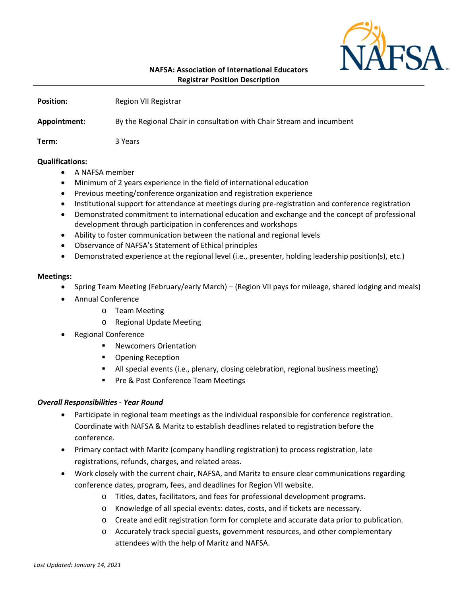

| <b>Position:</b> | Region VII Registrar                                                  |
|------------------|-----------------------------------------------------------------------|
| Appointment:     | By the Regional Chair in consultation with Chair Stream and incumbent |
| Term:            | 3 Years                                                               |

## **Qualifications:**

- A NAFSA member
- Minimum of 2 years experience in the field of international education
- Previous meeting/conference organization and registration experience
- Institutional support for attendance at meetings during pre-registration and conference registration
- Demonstrated commitment to international education and exchange and the concept of professional development through participation in conferences and workshops
- Ability to foster communication between the national and regional levels
- Observance of NAFSA's Statement of Ethical principles
- Demonstrated experience at the regional level (i.e., presenter, holding leadership position(s), etc.)

## **Meetings:**

- Spring Team Meeting (February/early March) (Region VII pays for mileage, shared lodging and meals)
- Annual Conference
	- o Team Meeting
	- o Regional Update Meeting
- Regional Conference
	- Newcomers Orientation
	- Opening Reception
	- All special events (i.e., plenary, closing celebration, regional business meeting)
	- Pre & Post Conference Team Meetings

# *Overall Responsibilities - Year Round*

- Participate in regional team meetings as the individual responsible for conference registration. Coordinate with NAFSA & Maritz to establish deadlines related to registration before the conference.
- Primary contact with Maritz (company handling registration) to process registration, late registrations, refunds, charges, and related areas.
- Work closely with the current chair, NAFSA, and Maritz to ensure clear communications regarding conference dates, program, fees, and deadlines for Region VII website.
	- o Titles, dates, facilitators, and fees for professional development programs.
	- o Knowledge of all special events: dates, costs, and if tickets are necessary.
	- o Create and edit registration form for complete and accurate data prior to publication.
	- o Accurately track special guests, government resources, and other complementary attendees with the help of Maritz and NAFSA.